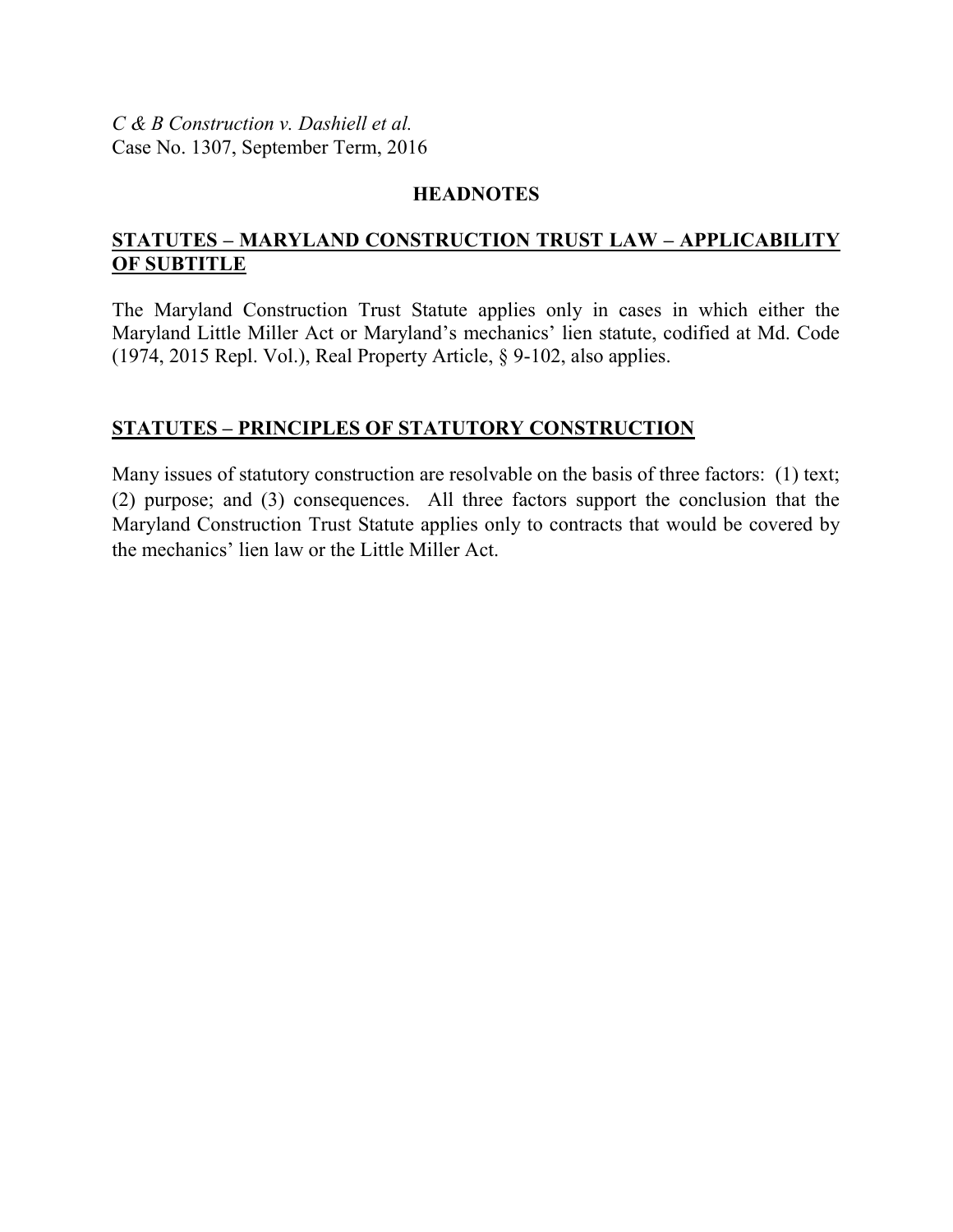*C & B Construction v. Dashiell et al.*  Case No. 1307, September Term, 2016

# **HEADNOTES**

# **STATUTES – MARYLAND CONSTRUCTION TRUST LAW – APPLICABILITY OF SUBTITLE**

The Maryland Construction Trust Statute applies only in cases in which either the Maryland Little Miller Act or Maryland's mechanics' lien statute, codified at Md. Code (1974, 2015 Repl. Vol.), Real Property Article, § 9-102, also applies.

# **STATUTES – PRINCIPLES OF STATUTORY CONSTRUCTION**

Many issues of statutory construction are resolvable on the basis of three factors: (1) text; (2) purpose; and (3) consequences. All three factors support the conclusion that the Maryland Construction Trust Statute applies only to contracts that would be covered by the mechanics' lien law or the Little Miller Act.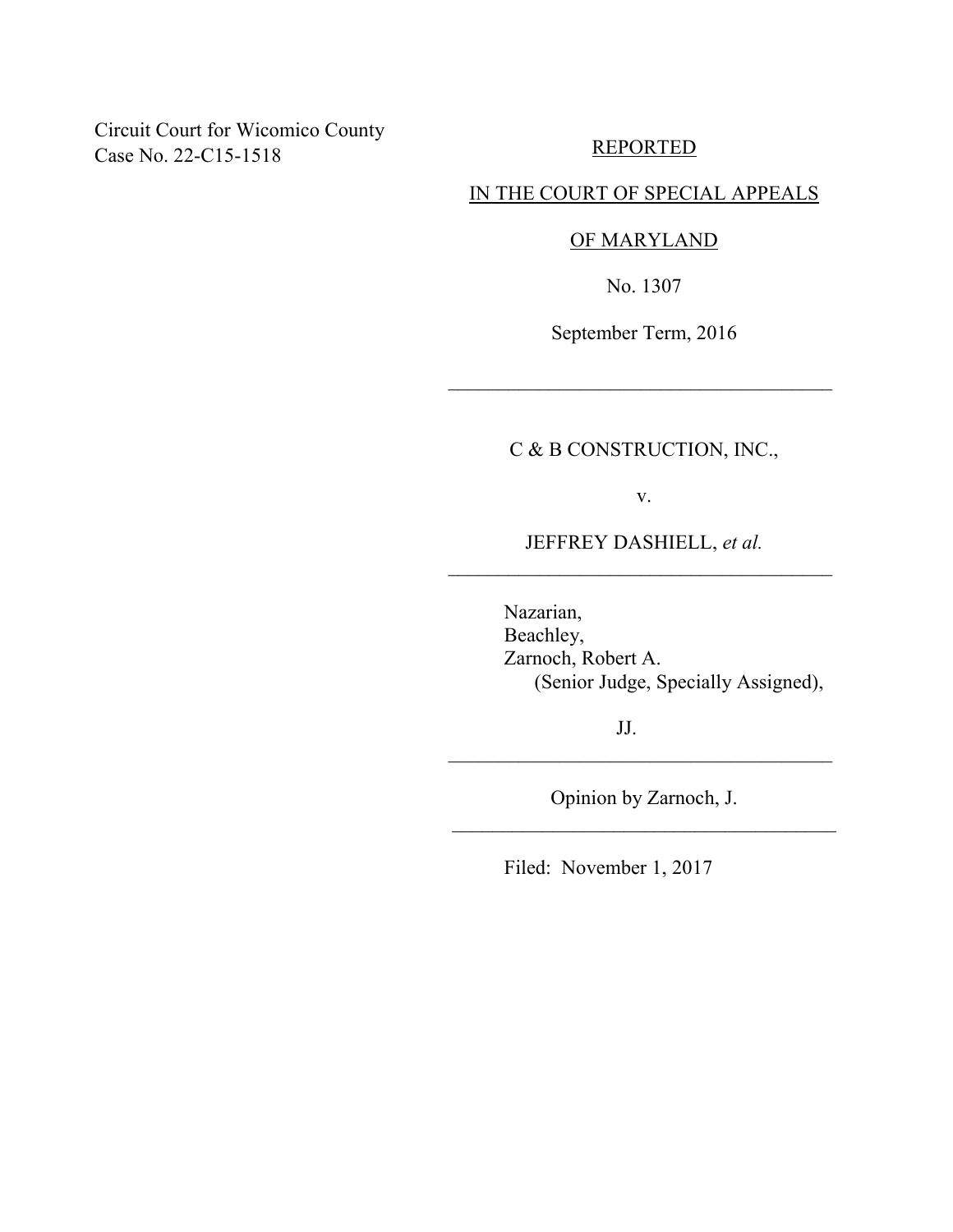Circuit Court for Wicomico County Case No. 22-C15-1518

REPORTED

### IN THE COURT OF SPECIAL APPEALS

#### OF MARYLAND

No. 1307

September Term, 2016

 $\mathcal{L}_\text{max}$  , where  $\mathcal{L}_\text{max}$  is the set of  $\mathcal{L}_\text{max}$ 

# C & B CONSTRUCTION, INC.,

v.

JEFFREY DASHIELL, *et al.* \_\_\_\_\_\_\_\_\_\_\_\_\_\_\_\_\_\_\_\_\_\_\_\_\_\_\_\_\_\_\_\_\_\_\_\_\_\_

> Nazarian, Beachley, Zarnoch, Robert A. (Senior Judge, Specially Assigned),

> > JJ.

Opinion by Zarnoch, J. \_\_\_\_\_\_\_\_\_\_\_\_\_\_\_\_\_\_\_\_\_\_\_\_\_\_\_\_\_\_\_\_\_\_\_\_\_\_

 $\mathcal{L}_\text{max}$  , where  $\mathcal{L}_\text{max}$  is the set of  $\mathcal{L}_\text{max}$ 

Filed: November 1, 2017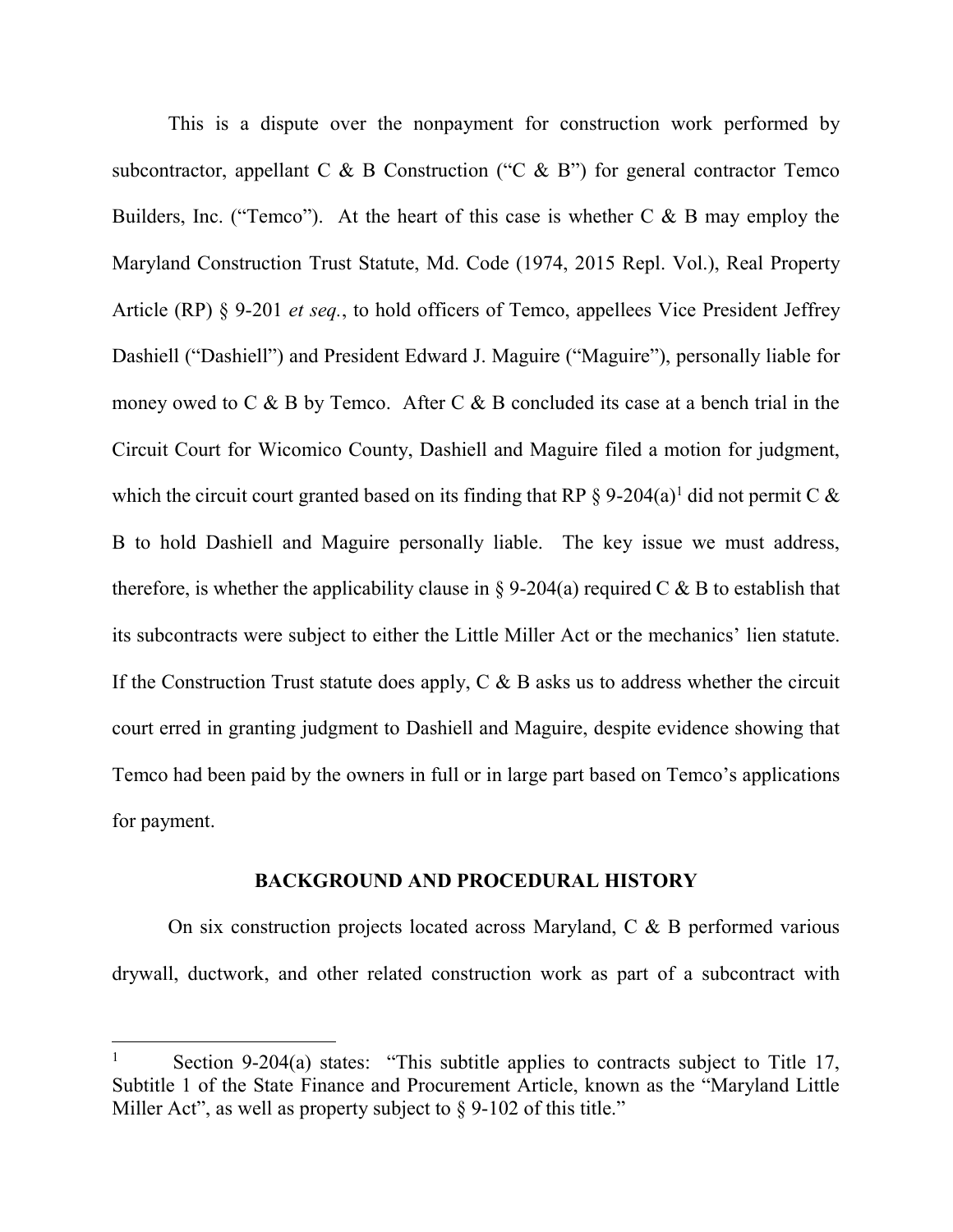This is a dispute over the nonpayment for construction work performed by subcontractor, appellant C & B Construction ("C & B") for general contractor Temco Builders, Inc. ("Temco"). At the heart of this case is whether  $C \& B$  may employ the Maryland Construction Trust Statute, Md. Code (1974, 2015 Repl. Vol.), Real Property Article (RP) § 9-201 *et seq.*, to hold officers of Temco, appellees Vice President Jeffrey Dashiell ("Dashiell") and President Edward J. Maguire ("Maguire"), personally liable for money owed to  $C \& B$  by Temco. After  $C \& B$  concluded its case at a bench trial in the Circuit Court for Wicomico County, Dashiell and Maguire filed a motion for judgment, which the circuit court granted based on its finding that RP  $\S 9\text{-}204(a)^1$  did not permit C  $\&$ B to hold Dashiell and Maguire personally liable. The key issue we must address, therefore, is whether the applicability clause in § 9-204(a) required C & B to establish that its subcontracts were subject to either the Little Miller Act or the mechanics' lien statute. If the Construction Trust statute does apply,  $C \& B$  asks us to address whether the circuit court erred in granting judgment to Dashiell and Maguire, despite evidence showing that Temco had been paid by the owners in full or in large part based on Temco's applications for payment.

#### **BACKGROUND AND PROCEDURAL HISTORY**

 On six construction projects located across Maryland, C & B performed various drywall, ductwork, and other related construction work as part of a subcontract with

<sup>1</sup> Section 9-204(a) states: "This subtitle applies to contracts subject to Title 17, Subtitle 1 of the State Finance and Procurement Article, known as the "Maryland Little Miller Act", as well as property subject to § 9-102 of this title."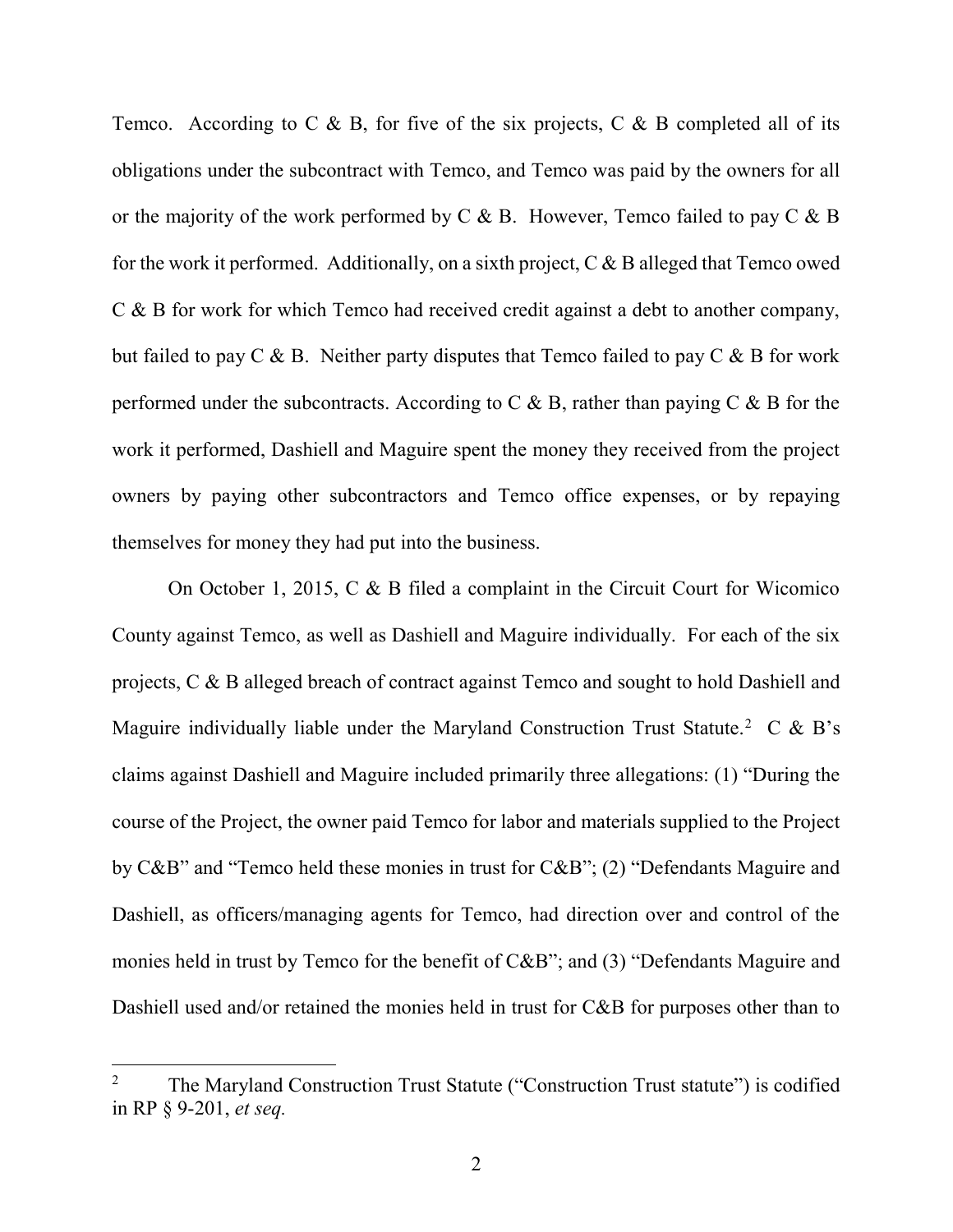Temco. According to C  $\&$  B, for five of the six projects, C  $\&$  B completed all of its obligations under the subcontract with Temco, and Temco was paid by the owners for all or the majority of the work performed by  $C \& B$ . However, Temco failed to pay  $C \& B$ for the work it performed. Additionally, on a sixth project,  $C \& B$  alleged that Temco owed C & B for work for which Temco had received credit against a debt to another company, but failed to pay  $C \& B$ . Neither party disputes that Temco failed to pay  $C \& B$  for work performed under the subcontracts. According to  $C \& B$ , rather than paying  $C \& B$  for the work it performed, Dashiell and Maguire spent the money they received from the project owners by paying other subcontractors and Temco office expenses, or by repaying themselves for money they had put into the business.

 On October 1, 2015, C & B filed a complaint in the Circuit Court for Wicomico County against Temco, as well as Dashiell and Maguire individually. For each of the six projects, C & B alleged breach of contract against Temco and sought to hold Dashiell and Maguire individually liable under the Maryland Construction Trust Statute.<sup>2</sup> C & B's claims against Dashiell and Maguire included primarily three allegations: (1) "During the course of the Project, the owner paid Temco for labor and materials supplied to the Project by C&B" and "Temco held these monies in trust for C&B"; (2) "Defendants Maguire and Dashiell, as officers/managing agents for Temco, had direction over and control of the monies held in trust by Temco for the benefit of C&B"; and (3) "Defendants Maguire and Dashiell used and/or retained the monies held in trust for C&B for purposes other than to

<sup>2</sup> The Maryland Construction Trust Statute ("Construction Trust statute") is codified in RP § 9-201, *et seq.*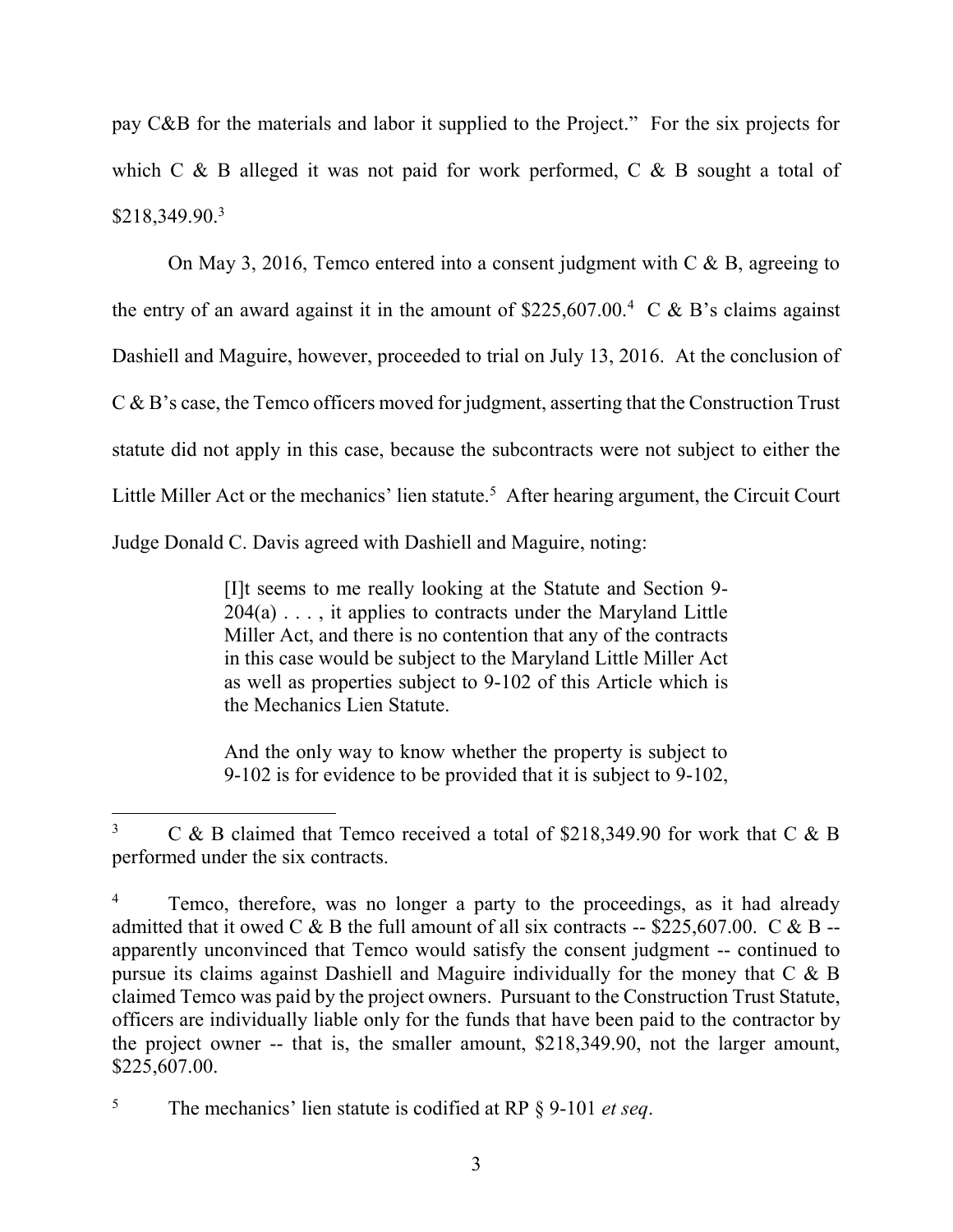pay C&B for the materials and labor it supplied to the Project." For the six projects for which  $C \& B$  alleged it was not paid for work performed,  $C \& B$  sought a total of \$218,349.90.<sup>3</sup>

 On May 3, 2016, Temco entered into a consent judgment with C & B, agreeing to the entry of an award against it in the amount of  $$225,607.00$ <sup>4</sup> C & B's claims against Dashiell and Maguire, however, proceeded to trial on July 13, 2016. At the conclusion of C & B's case, the Temco officers moved for judgment, asserting that the Construction Trust statute did not apply in this case, because the subcontracts were not subject to either the Little Miller Act or the mechanics' lien statute.<sup>5</sup> After hearing argument, the Circuit Court Judge Donald C. Davis agreed with Dashiell and Maguire, noting:

> [I]t seems to me really looking at the Statute and Section 9-  $204(a)$ ..., it applies to contracts under the Maryland Little Miller Act, and there is no contention that any of the contracts in this case would be subject to the Maryland Little Miller Act as well as properties subject to 9-102 of this Article which is the Mechanics Lien Statute.

> And the only way to know whether the property is subject to 9-102 is for evidence to be provided that it is subject to 9-102,

<sup>3</sup> C & B claimed that Temco received a total of \$218,349.90 for work that C & B performed under the six contracts.

<sup>4</sup> Temco, therefore, was no longer a party to the proceedings, as it had already admitted that it owed C & B the full amount of all six contracts  $-$  \$225,607.00. C & B  $$ apparently unconvinced that Temco would satisfy the consent judgment -- continued to pursue its claims against Dashiell and Maguire individually for the money that C & B claimed Temco was paid by the project owners. Pursuant to the Construction Trust Statute, officers are individually liable only for the funds that have been paid to the contractor by the project owner -- that is, the smaller amount, \$218,349.90, not the larger amount, \$225,607.00.

<sup>5</sup> The mechanics' lien statute is codified at RP § 9-101 *et seq*.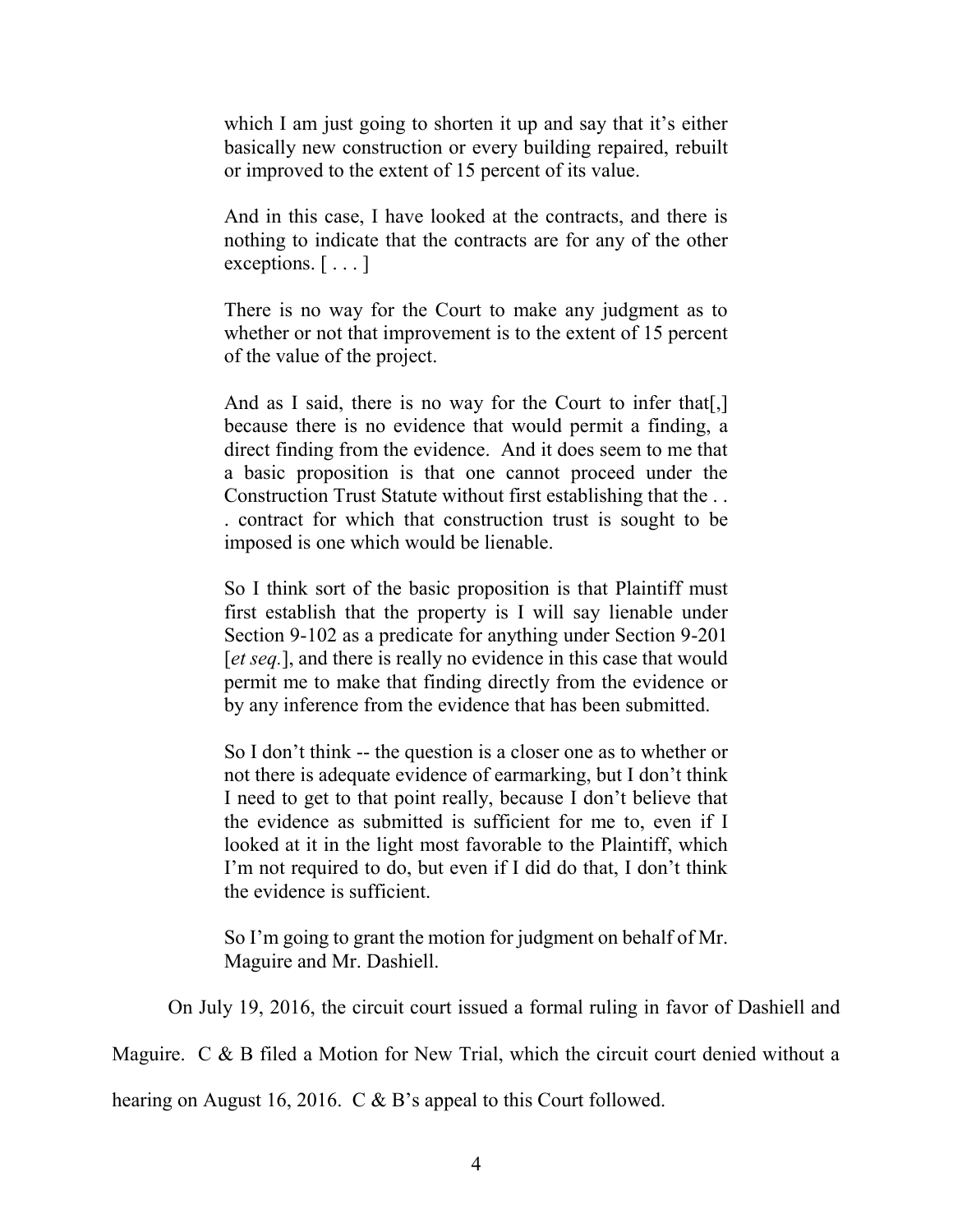which I am just going to shorten it up and say that it's either basically new construction or every building repaired, rebuilt or improved to the extent of 15 percent of its value.

And in this case, I have looked at the contracts, and there is nothing to indicate that the contracts are for any of the other exceptions.  $[\ldots]$ 

There is no way for the Court to make any judgment as to whether or not that improvement is to the extent of 15 percent of the value of the project.

And as I said, there is no way for the Court to infer that. because there is no evidence that would permit a finding, a direct finding from the evidence. And it does seem to me that a basic proposition is that one cannot proceed under the Construction Trust Statute without first establishing that the . . . contract for which that construction trust is sought to be imposed is one which would be lienable.

So I think sort of the basic proposition is that Plaintiff must first establish that the property is I will say lienable under Section 9-102 as a predicate for anything under Section 9-201 [*et seq.*], and there is really no evidence in this case that would permit me to make that finding directly from the evidence or by any inference from the evidence that has been submitted.

So I don't think -- the question is a closer one as to whether or not there is adequate evidence of earmarking, but I don't think I need to get to that point really, because I don't believe that the evidence as submitted is sufficient for me to, even if I looked at it in the light most favorable to the Plaintiff, which I'm not required to do, but even if I did do that, I don't think the evidence is sufficient.

So I'm going to grant the motion for judgment on behalf of Mr. Maguire and Mr. Dashiell.

On July 19, 2016, the circuit court issued a formal ruling in favor of Dashiell and

Maguire. C & B filed a Motion for New Trial, which the circuit court denied without a

hearing on August 16, 2016. C & B's appeal to this Court followed.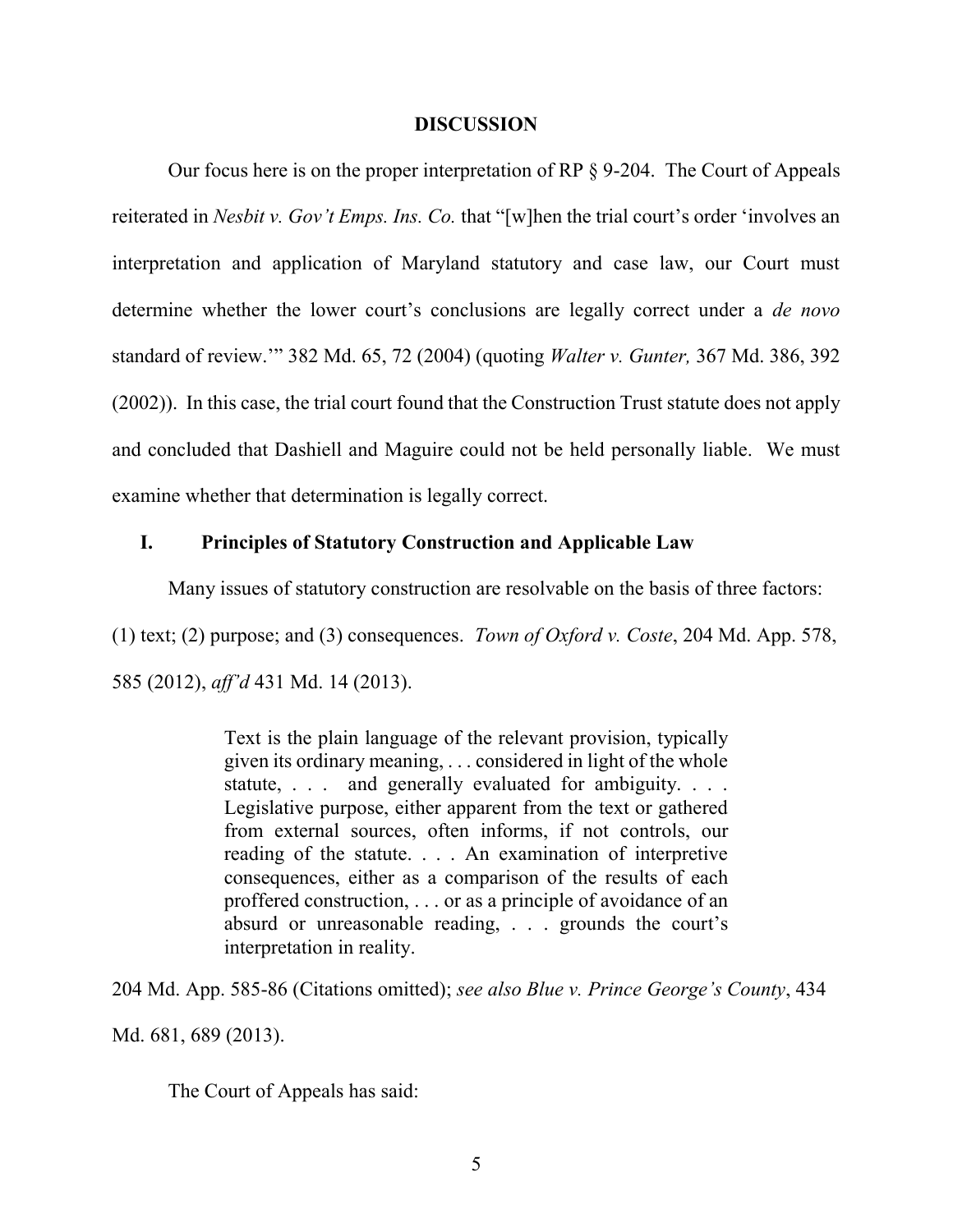#### **DISCUSSION**

 Our focus here is on the proper interpretation of RP § 9-204. The Court of Appeals reiterated in *Nesbit v. Gov't Emps. Ins. Co.* that "[w]hen the trial court's order 'involves an interpretation and application of Maryland statutory and case law, our Court must determine whether the lower court's conclusions are legally correct under a *de novo* standard of review.'" 382 Md. 65, 72 (2004) (quoting *Walter v. Gunter,* 367 Md. 386, 392 (2002)). In this case, the trial court found that the Construction Trust statute does not apply and concluded that Dashiell and Maguire could not be held personally liable. We must examine whether that determination is legally correct.

### **I. Principles of Statutory Construction and Applicable Law**

Many issues of statutory construction are resolvable on the basis of three factors:

(1) text; (2) purpose; and (3) consequences. *Town of Oxford v. Coste*, 204 Md. App. 578, 585 (2012), *aff'd* 431 Md. 14 (2013).

> Text is the plain language of the relevant provision, typically given its ordinary meaning, . . . considered in light of the whole statute, . . . and generally evaluated for ambiguity. . . . Legislative purpose, either apparent from the text or gathered from external sources, often informs, if not controls, our reading of the statute. . . . An examination of interpretive consequences, either as a comparison of the results of each proffered construction, . . . or as a principle of avoidance of an absurd or unreasonable reading, . . . grounds the court's interpretation in reality.

204 Md. App. 585-86 (Citations omitted); *see also Blue v. Prince George's County*, 434

Md. 681, 689 (2013).

The Court of Appeals has said: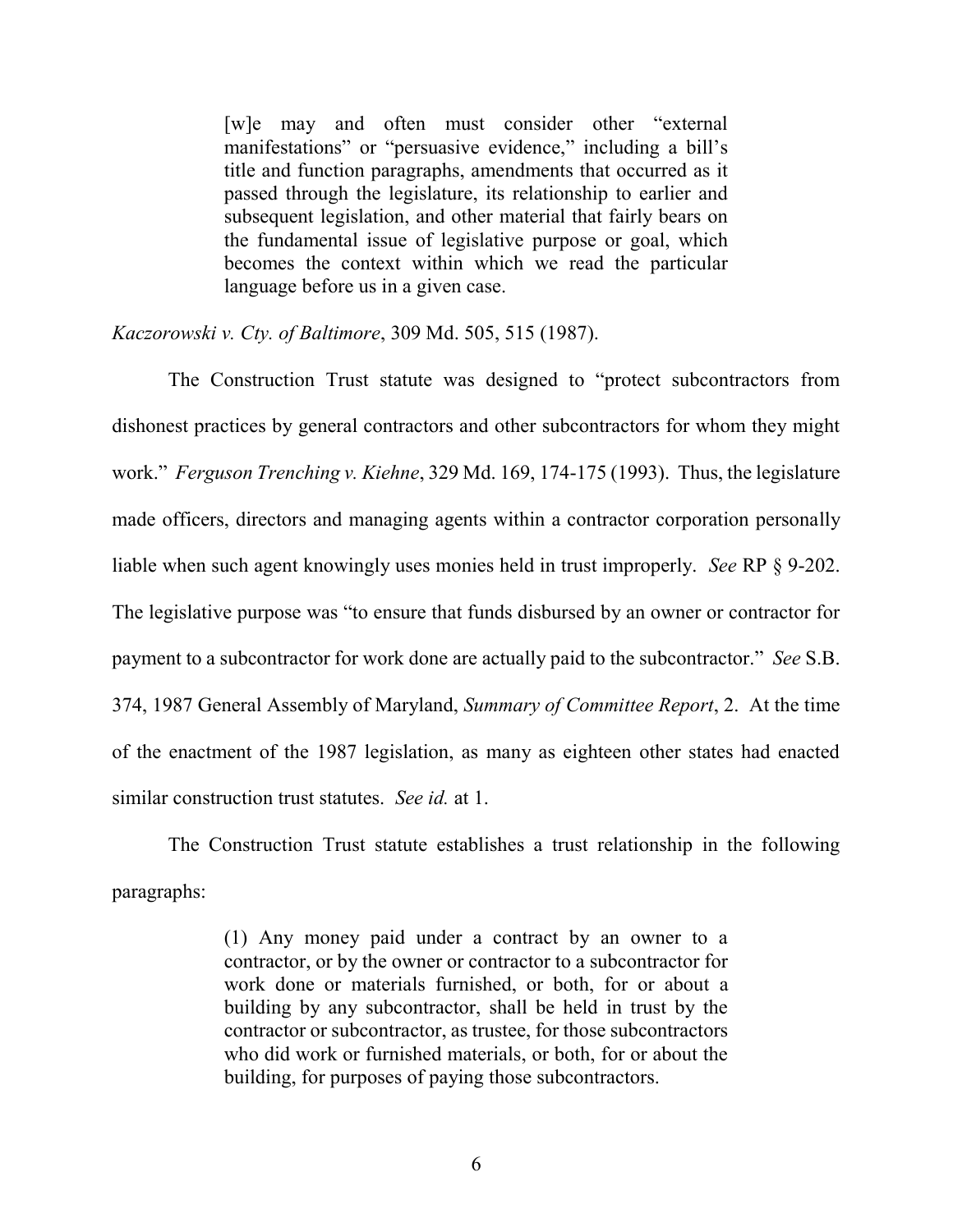[w]e may and often must consider other "external manifestations" or "persuasive evidence," including a bill's title and function paragraphs, amendments that occurred as it passed through the legislature, its relationship to earlier and subsequent legislation, and other material that fairly bears on the fundamental issue of legislative purpose or goal, which becomes the context within which we read the particular language before us in a given case.

*Kaczorowski v. Cty. of Baltimore*, 309 Md. 505, 515 (1987).

 The Construction Trust statute was designed to "protect subcontractors from dishonest practices by general contractors and other subcontractors for whom they might work." *Ferguson Trenching v. Kiehne*, 329 Md. 169, 174-175 (1993). Thus, the legislature made officers, directors and managing agents within a contractor corporation personally liable when such agent knowingly uses monies held in trust improperly. *See* RP § 9-202. The legislative purpose was "to ensure that funds disbursed by an owner or contractor for payment to a subcontractor for work done are actually paid to the subcontractor." *See* S.B. 374, 1987 General Assembly of Maryland, *Summary of Committee Report*, 2. At the time of the enactment of the 1987 legislation, as many as eighteen other states had enacted similar construction trust statutes. *See id.* at 1.

 The Construction Trust statute establishes a trust relationship in the following paragraphs:

> (1) Any money paid under a contract by an owner to a contractor, or by the owner or contractor to a subcontractor for work done or materials furnished, or both, for or about a building by any subcontractor, shall be held in trust by the contractor or subcontractor, as trustee, for those subcontractors who did work or furnished materials, or both, for or about the building, for purposes of paying those subcontractors.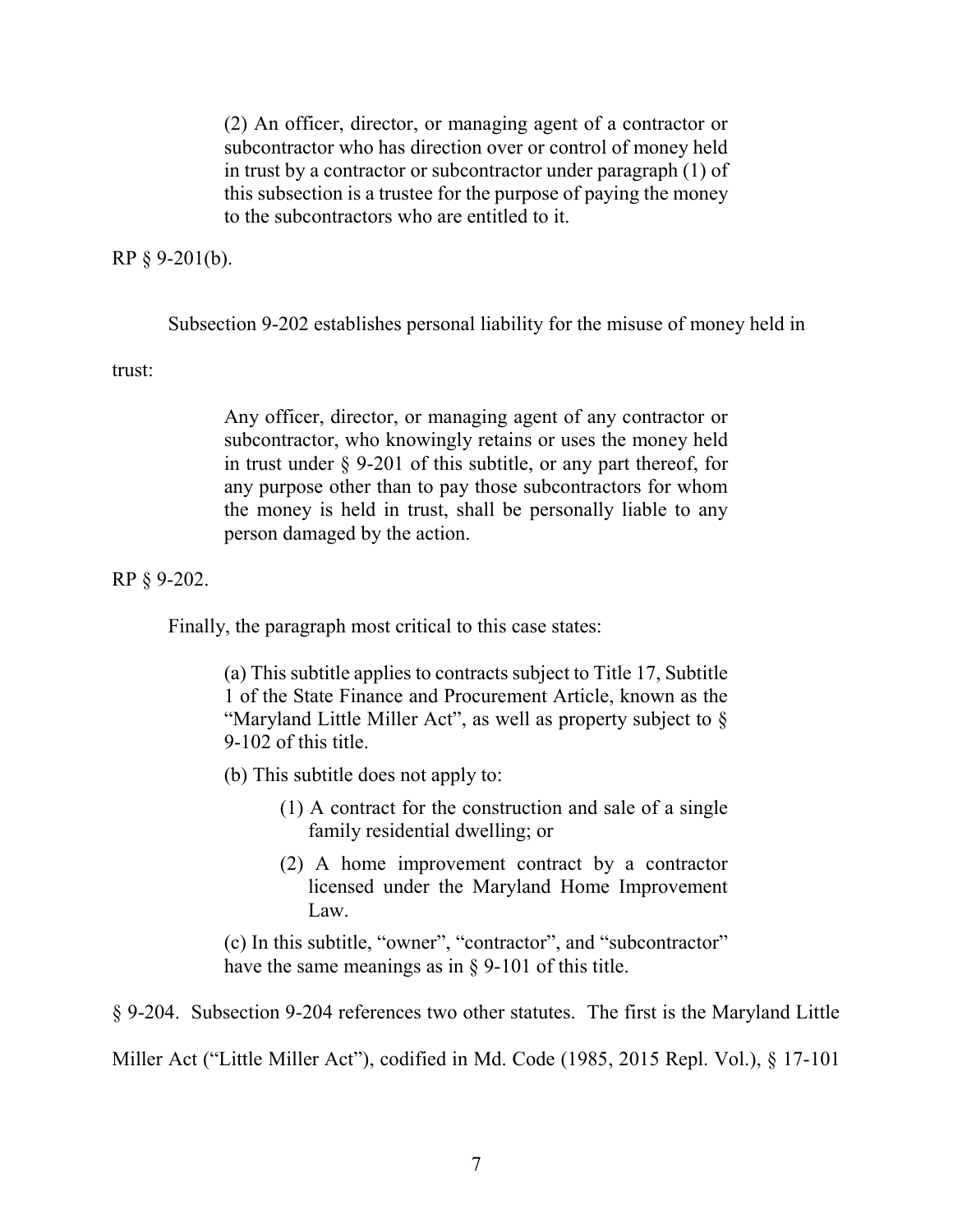(2) An officer, director, or managing agent of a contractor or subcontractor who has direction over or control of money held in trust by a contractor or subcontractor under paragraph (1) of this subsection is a trustee for the purpose of paying the money to the subcontractors who are entitled to it.

RP § 9-201(b).

Subsection 9-202 establishes personal liability for the misuse of money held in

trust:

Any officer, director, or managing agent of any contractor or subcontractor, who knowingly retains or uses the money held in trust under § 9-201 of this subtitle, or any part thereof, for any purpose other than to pay those subcontractors for whom the money is held in trust, shall be personally liable to any person damaged by the action.

RP § 9-202.

Finally, the paragraph most critical to this case states:

(a) This subtitle applies to contracts subject to Title 17, Subtitle 1 of the State Finance and Procurement Article, known as the "Maryland Little Miller Act", as well as property subject to § 9-102 of this title.

(b) This subtitle does not apply to:

- (1) A contract for the construction and sale of a single family residential dwelling; or
- (2) A home improvement contract by a contractor licensed under the Maryland Home Improvement Law.

(c) In this subtitle, "owner", "contractor", and "subcontractor" have the same meanings as in § 9-101 of this title.

§ 9-204. Subsection 9-204 references two other statutes. The first is the Maryland Little

Miller Act ("Little Miller Act"), codified in Md. Code (1985, 2015 Repl. Vol.), § 17-101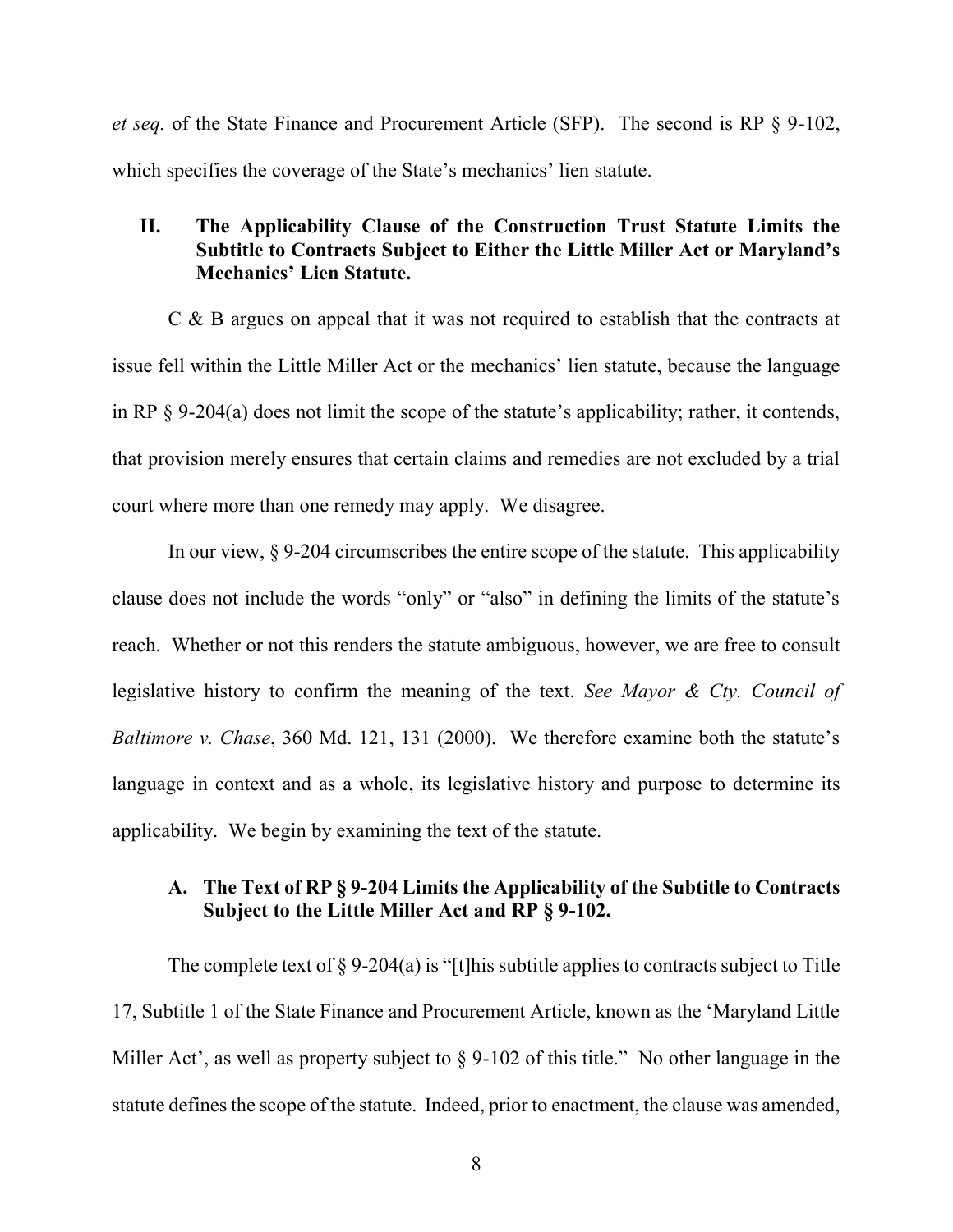*et seq.* of the State Finance and Procurement Article (SFP). The second is RP § 9-102, which specifies the coverage of the State's mechanics' lien statute.

### **II. The Applicability Clause of the Construction Trust Statute Limits the Subtitle to Contracts Subject to Either the Little Miller Act or Maryland's Mechanics' Lien Statute.**

C & B argues on appeal that it was not required to establish that the contracts at issue fell within the Little Miller Act or the mechanics' lien statute, because the language in RP § 9-204(a) does not limit the scope of the statute's applicability; rather, it contends, that provision merely ensures that certain claims and remedies are not excluded by a trial court where more than one remedy may apply. We disagree.

 In our view, § 9-204 circumscribes the entire scope of the statute. This applicability clause does not include the words "only" or "also" in defining the limits of the statute's reach. Whether or not this renders the statute ambiguous, however, we are free to consult legislative history to confirm the meaning of the text. *See Mayor & Cty. Council of Baltimore v. Chase*, 360 Md. 121, 131 (2000). We therefore examine both the statute's language in context and as a whole, its legislative history and purpose to determine its applicability. We begin by examining the text of the statute.

### **A. The Text of RP § 9-204 Limits the Applicability of the Subtitle to Contracts Subject to the Little Miller Act and RP § 9-102.**

The complete text of  $\S 9-204(a)$  is "[t]his subtitle applies to contracts subject to Title 17, Subtitle 1 of the State Finance and Procurement Article, known as the 'Maryland Little Miller Act', as well as property subject to § 9-102 of this title." No other language in the statute defines the scope of the statute. Indeed, prior to enactment, the clause was amended,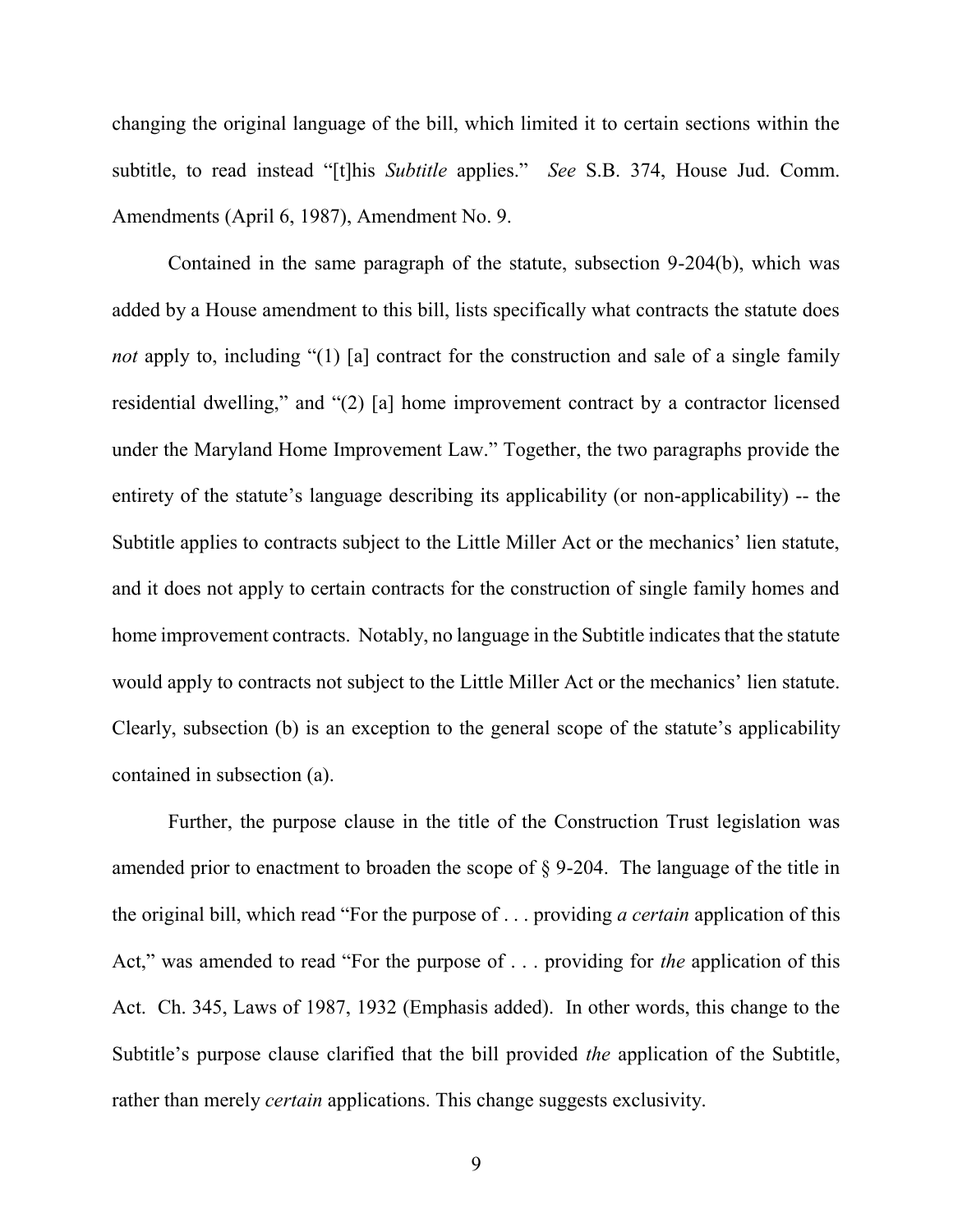changing the original language of the bill, which limited it to certain sections within the subtitle, to read instead "[t]his *Subtitle* applies." *See* S.B. 374, House Jud. Comm. Amendments (April 6, 1987), Amendment No. 9.

 Contained in the same paragraph of the statute, subsection 9-204(b), which was added by a House amendment to this bill, lists specifically what contracts the statute does *not* apply to, including "(1) [a] contract for the construction and sale of a single family residential dwelling," and "(2) [a] home improvement contract by a contractor licensed under the Maryland Home Improvement Law." Together, the two paragraphs provide the entirety of the statute's language describing its applicability (or non-applicability) -- the Subtitle applies to contracts subject to the Little Miller Act or the mechanics' lien statute, and it does not apply to certain contracts for the construction of single family homes and home improvement contracts. Notably, no language in the Subtitle indicates that the statute would apply to contracts not subject to the Little Miller Act or the mechanics' lien statute. Clearly, subsection (b) is an exception to the general scope of the statute's applicability contained in subsection (a).

 Further, the purpose clause in the title of the Construction Trust legislation was amended prior to enactment to broaden the scope of § 9-204. The language of the title in the original bill, which read "For the purpose of . . . providing *a certain* application of this Act," was amended to read "For the purpose of . . . providing for *the* application of this Act. Ch. 345, Laws of 1987, 1932 (Emphasis added). In other words, this change to the Subtitle's purpose clause clarified that the bill provided *the* application of the Subtitle, rather than merely *certain* applications. This change suggests exclusivity.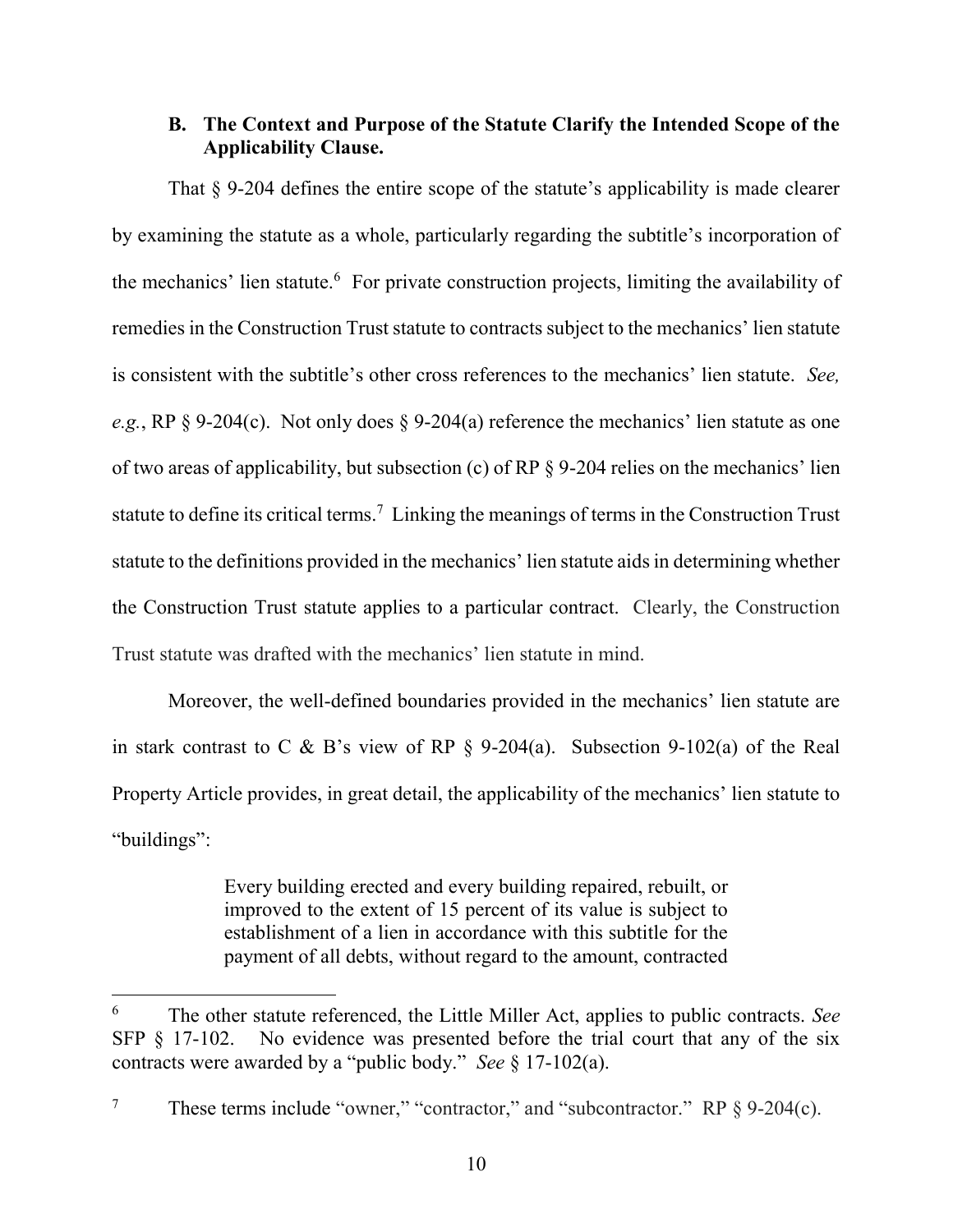### **B. The Context and Purpose of the Statute Clarify the Intended Scope of the Applicability Clause.**

 That § 9-204 defines the entire scope of the statute's applicability is made clearer by examining the statute as a whole, particularly regarding the subtitle's incorporation of the mechanics' lien statute.<sup>6</sup> For private construction projects, limiting the availability of remedies in the Construction Trust statute to contracts subject to the mechanics' lien statute is consistent with the subtitle's other cross references to the mechanics' lien statute. *See, e.g.*, RP § 9-204(c). Not only does § 9-204(a) reference the mechanics' lien statute as one of two areas of applicability, but subsection (c) of RP § 9-204 relies on the mechanics' lien statute to define its critical terms.<sup>7</sup> Linking the meanings of terms in the Construction Trust statute to the definitions provided in the mechanics' lien statute aids in determining whether the Construction Trust statute applies to a particular contract. Clearly, the Construction Trust statute was drafted with the mechanics' lien statute in mind.

Moreover, the well-defined boundaries provided in the mechanics' lien statute are in stark contrast to C & B's view of RP § 9-204(a). Subsection 9-102(a) of the Real Property Article provides, in great detail, the applicability of the mechanics' lien statute to "buildings":

> Every building erected and every building repaired, rebuilt, or improved to the extent of 15 percent of its value is subject to establishment of a lien in accordance with this subtitle for the payment of all debts, without regard to the amount, contracted

<sup>6</sup> The other statute referenced, the Little Miller Act, applies to public contracts. *See*  SFP § 17-102. No evidence was presented before the trial court that any of the six contracts were awarded by a "public body." *See* § 17-102(a).

<sup>&</sup>lt;sup>7</sup> These terms include "owner," "contractor," and "subcontractor." RP  $\S$  9-204(c).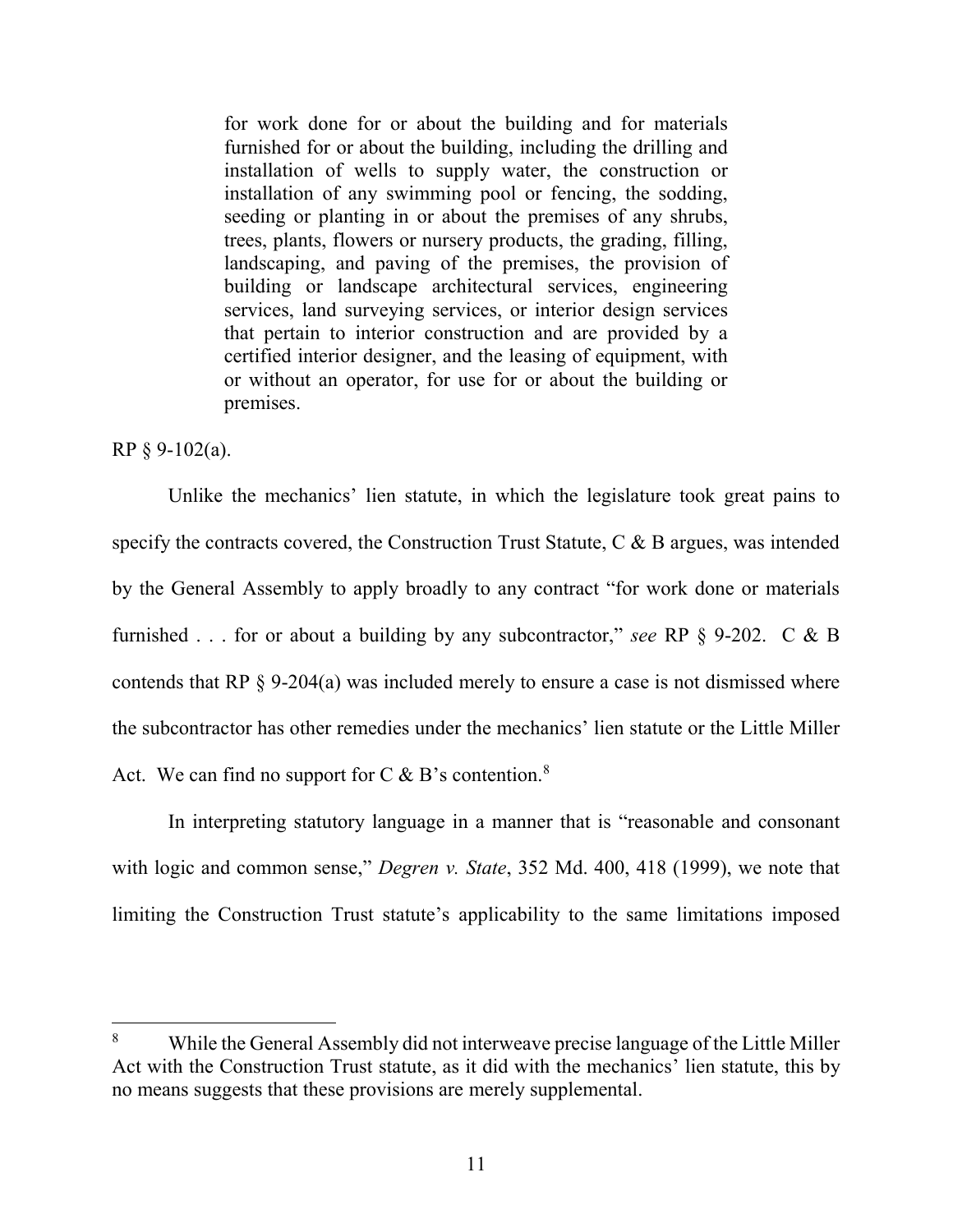for work done for or about the building and for materials furnished for or about the building, including the drilling and installation of wells to supply water, the construction or installation of any swimming pool or fencing, the sodding, seeding or planting in or about the premises of any shrubs, trees, plants, flowers or nursery products, the grading, filling, landscaping, and paving of the premises, the provision of building or landscape architectural services, engineering services, land surveying services, or interior design services that pertain to interior construction and are provided by a certified interior designer, and the leasing of equipment, with or without an operator, for use for or about the building or premises.

RP § 9-102(a).

l

Unlike the mechanics' lien statute, in which the legislature took great pains to specify the contracts covered, the Construction Trust Statute, C & B argues, was intended by the General Assembly to apply broadly to any contract "for work done or materials furnished . . . for or about a building by any subcontractor," *see* RP § 9-202. C & B contends that RP § 9-204(a) was included merely to ensure a case is not dismissed where the subcontractor has other remedies under the mechanics' lien statute or the Little Miller Act. We can find no support for  $C \& B$ 's contention.<sup>8</sup>

In interpreting statutory language in a manner that is "reasonable and consonant with logic and common sense," *Degren v. State*, 352 Md. 400, 418 (1999), we note that limiting the Construction Trust statute's applicability to the same limitations imposed

<sup>8</sup> While the General Assembly did not interweave precise language of the Little Miller Act with the Construction Trust statute, as it did with the mechanics' lien statute, this by no means suggests that these provisions are merely supplemental.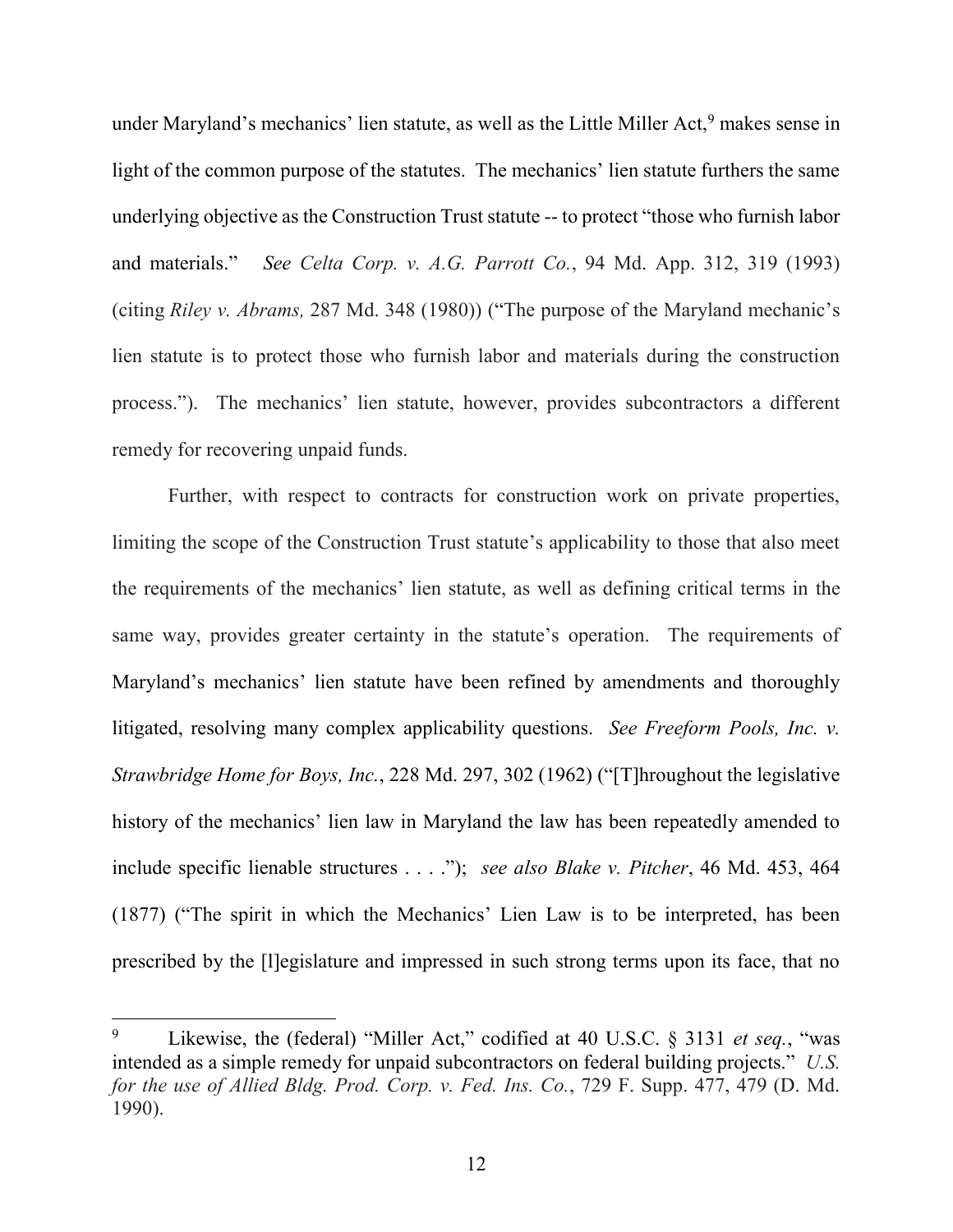under Maryland's mechanics' lien statute, as well as the Little Miller Act,<sup>9</sup> makes sense in light of the common purpose of the statutes. The mechanics' lien statute furthers the same underlying objective as the Construction Trust statute -- to protect "those who furnish labor and materials." *See Celta Corp. v. A.G. Parrott Co.*, 94 Md. App. 312, 319 (1993) (citing *Riley v. Abrams,* 287 Md. 348 (1980)) ("The purpose of the Maryland mechanic's lien statute is to protect those who furnish labor and materials during the construction process."). The mechanics' lien statute, however, provides subcontractors a different remedy for recovering unpaid funds.

Further, with respect to contracts for construction work on private properties, limiting the scope of the Construction Trust statute's applicability to those that also meet the requirements of the mechanics' lien statute, as well as defining critical terms in the same way, provides greater certainty in the statute's operation. The requirements of Maryland's mechanics' lien statute have been refined by amendments and thoroughly litigated, resolving many complex applicability questions. *See Freeform Pools, Inc. v. Strawbridge Home for Boys, Inc.*, 228 Md. 297, 302 (1962) ("[T]hroughout the legislative history of the mechanics' lien law in Maryland the law has been repeatedly amended to include specific lienable structures . . . ."); *see also Blake v. Pitcher*, 46 Md. 453, 464 (1877) ("The spirit in which the Mechanics' Lien Law is to be interpreted, has been prescribed by the [l]egislature and impressed in such strong terms upon its face, that no

<sup>9</sup> Likewise, the (federal) "Miller Act," codified at 40 U.S.C. § 3131 *et seq.*, "was intended as a simple remedy for unpaid subcontractors on federal building projects." *U.S. for the use of Allied Bldg. Prod. Corp. v. Fed. Ins. Co.*, 729 F. Supp. 477, 479 (D. Md. 1990).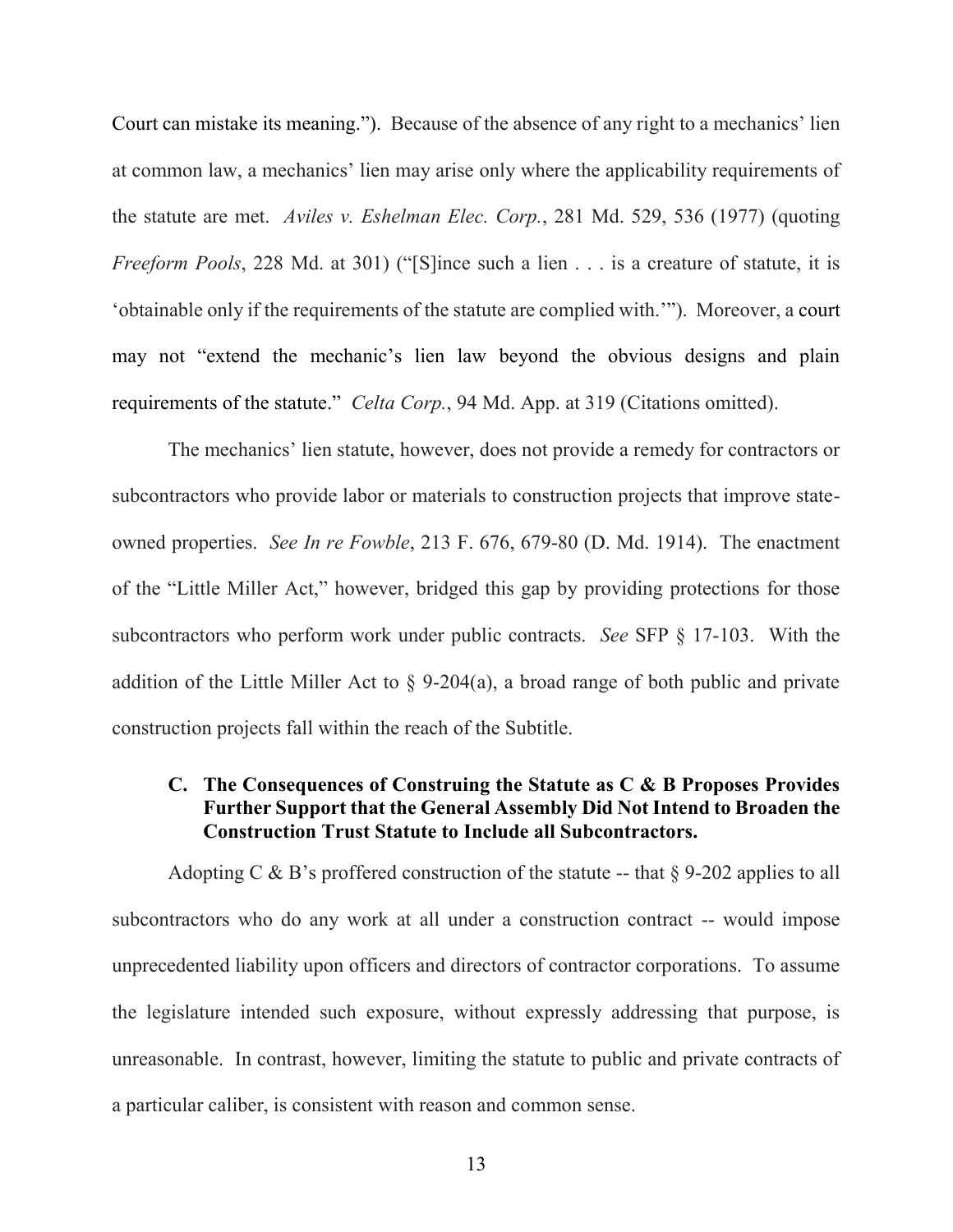Court can mistake its meaning."). Because of the absence of any right to a mechanics' lien at common law, a mechanics' lien may arise only where the applicability requirements of the statute are met. *Aviles v. Eshelman Elec. Corp.*, 281 Md. 529, 536 (1977) (quoting *Freeform Pools*, 228 Md. at 301) ("[S]ince such a lien . . . is a creature of statute, it is 'obtainable only if the requirements of the statute are complied with.'"). Moreover, a court may not "extend the mechanic's lien law beyond the obvious designs and plain requirements of the statute." *Celta Corp.*, 94 Md. App. at 319 (Citations omitted).

 The mechanics' lien statute, however, does not provide a remedy for contractors or subcontractors who provide labor or materials to construction projects that improve stateowned properties. *See In re Fowble*, 213 F. 676, 679-80 (D. Md. 1914). The enactment of the "Little Miller Act," however, bridged this gap by providing protections for those subcontractors who perform work under public contracts. *See* SFP § 17-103. With the addition of the Little Miller Act to  $\S$  9-204(a), a broad range of both public and private construction projects fall within the reach of the Subtitle.

#### **C. The Consequences of Construing the Statute as C & B Proposes Provides Further Support that the General Assembly Did Not Intend to Broaden the Construction Trust Statute to Include all Subcontractors.**

Adopting C & B's proffered construction of the statute -- that  $\S 9-202$  applies to all subcontractors who do any work at all under a construction contract -- would impose unprecedented liability upon officers and directors of contractor corporations. To assume the legislature intended such exposure, without expressly addressing that purpose, is unreasonable. In contrast, however, limiting the statute to public and private contracts of a particular caliber, is consistent with reason and common sense.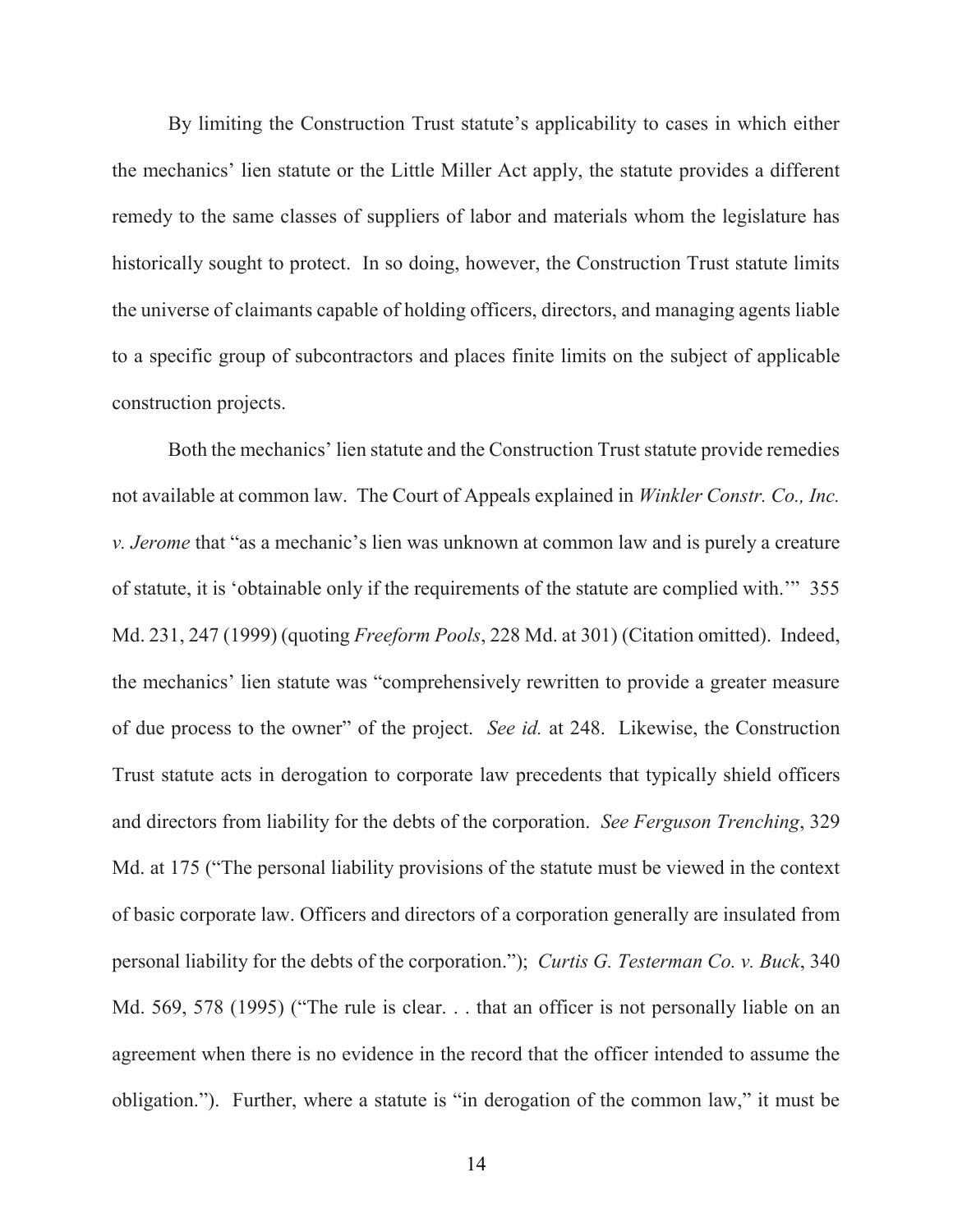By limiting the Construction Trust statute's applicability to cases in which either the mechanics' lien statute or the Little Miller Act apply, the statute provides a different remedy to the same classes of suppliers of labor and materials whom the legislature has historically sought to protect. In so doing, however, the Construction Trust statute limits the universe of claimants capable of holding officers, directors, and managing agents liable to a specific group of subcontractors and places finite limits on the subject of applicable construction projects.

 Both the mechanics' lien statute and the Construction Trust statute provide remedies not available at common law. The Court of Appeals explained in *Winkler Constr. Co., Inc. v. Jerome* that "as a mechanic's lien was unknown at common law and is purely a creature of statute, it is 'obtainable only if the requirements of the statute are complied with.'" 355 Md. 231, 247 (1999) (quoting *Freeform Pools*, 228 Md. at 301) (Citation omitted). Indeed, the mechanics' lien statute was "comprehensively rewritten to provide a greater measure of due process to the owner" of the project. *See id.* at 248. Likewise, the Construction Trust statute acts in derogation to corporate law precedents that typically shield officers and directors from liability for the debts of the corporation. *See Ferguson Trenching*, 329 Md. at 175 ("The personal liability provisions of the statute must be viewed in the context of basic corporate law. Officers and directors of a corporation generally are insulated from personal liability for the debts of the corporation."); *Curtis G. Testerman Co. v. Buck*, 340 Md. 569, 578 (1995) ("The rule is clear. . . that an officer is not personally liable on an agreement when there is no evidence in the record that the officer intended to assume the obligation."). Further, where a statute is "in derogation of the common law," it must be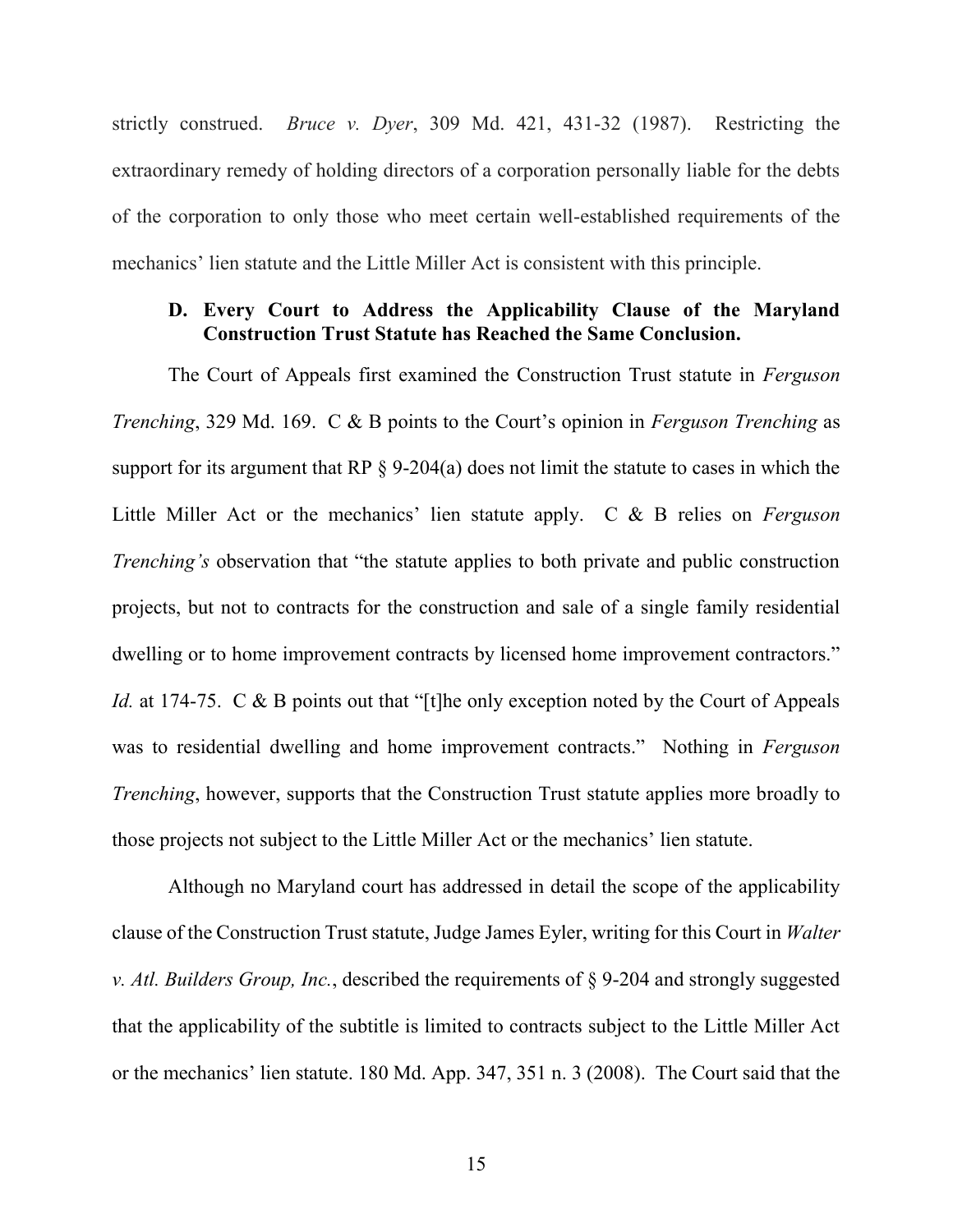strictly construed. *Bruce v. Dyer*, 309 Md. 421, 431-32 (1987). Restricting the extraordinary remedy of holding directors of a corporation personally liable for the debts of the corporation to only those who meet certain well-established requirements of the mechanics' lien statute and the Little Miller Act is consistent with this principle.

#### **D. Every Court to Address the Applicability Clause of the Maryland Construction Trust Statute has Reached the Same Conclusion.**

The Court of Appeals first examined the Construction Trust statute in *Ferguson Trenching*, 329 Md. 169. C & B points to the Court's opinion in *Ferguson Trenching* as support for its argument that RP § 9-204(a) does not limit the statute to cases in which the Little Miller Act or the mechanics' lien statute apply. C & B relies on *Ferguson Trenching's* observation that "the statute applies to both private and public construction projects, but not to contracts for the construction and sale of a single family residential dwelling or to home improvement contracts by licensed home improvement contractors." *Id.* at 174-75. C & B points out that "[t]he only exception noted by the Court of Appeals was to residential dwelling and home improvement contracts." Nothing in *Ferguson Trenching*, however, supports that the Construction Trust statute applies more broadly to those projects not subject to the Little Miller Act or the mechanics' lien statute.

Although no Maryland court has addressed in detail the scope of the applicability clause of the Construction Trust statute, Judge James Eyler, writing for this Court in *Walter v. Atl. Builders Group, Inc.*, described the requirements of § 9-204 and strongly suggested that the applicability of the subtitle is limited to contracts subject to the Little Miller Act or the mechanics' lien statute. 180 Md. App. 347, 351 n. 3 (2008). The Court said that the

15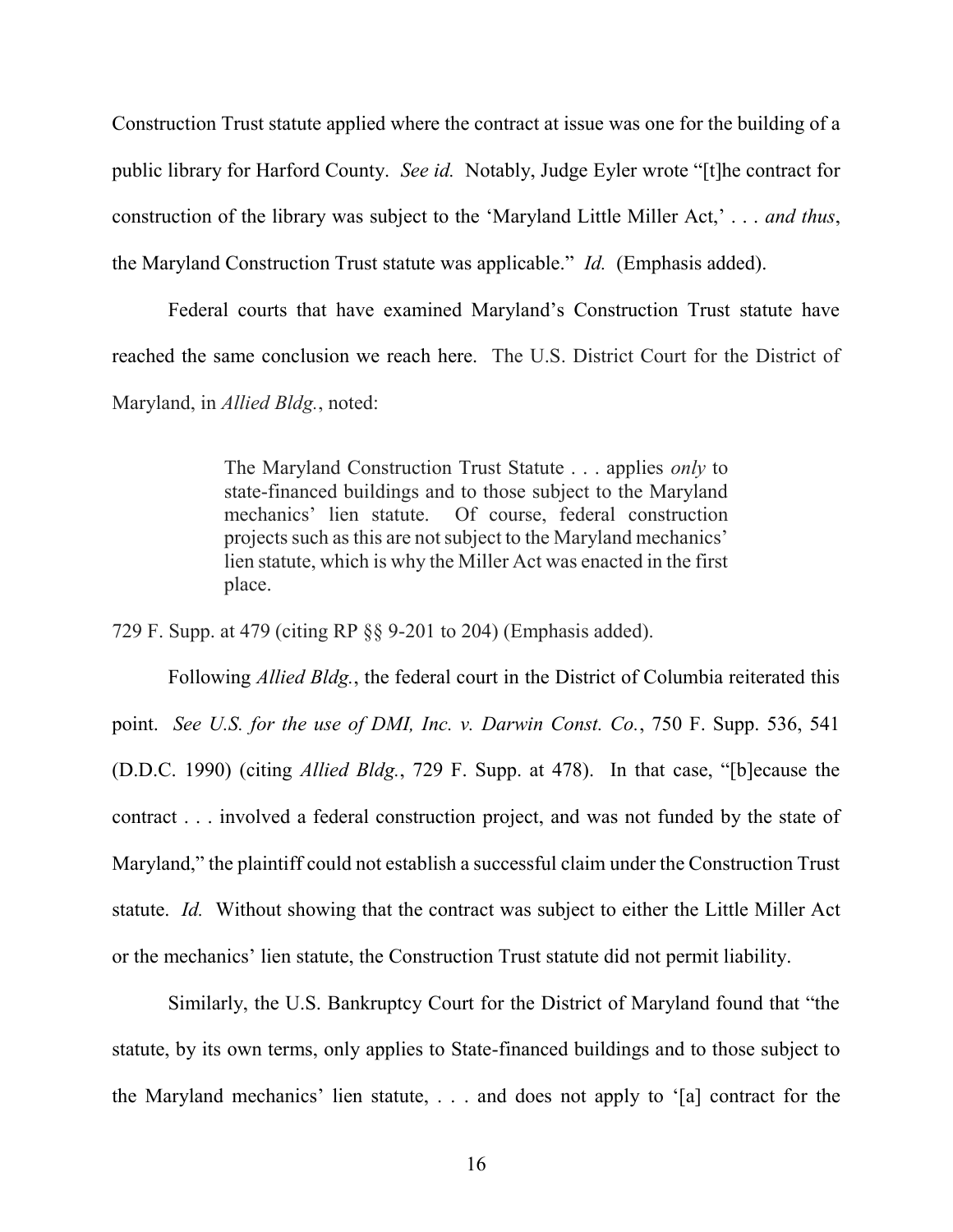Construction Trust statute applied where the contract at issue was one for the building of a public library for Harford County. *See id.* Notably, Judge Eyler wrote "[t]he contract for construction of the library was subject to the 'Maryland Little Miller Act,' . . . *and thus*, the Maryland Construction Trust statute was applicable." *Id.* (Emphasis added).

Federal courts that have examined Maryland's Construction Trust statute have reached the same conclusion we reach here. The U.S. District Court for the District of Maryland, in *Allied Bldg.*, noted:

> The Maryland Construction Trust Statute . . . applies *only* to state-financed buildings and to those subject to the Maryland mechanics' lien statute. Of course, federal construction projects such as this are not subject to the Maryland mechanics' lien statute, which is why the Miller Act was enacted in the first place.

729 F. Supp. at 479 (citing RP §§ 9-201 to 204) (Emphasis added).

Following *Allied Bldg.*, the federal court in the District of Columbia reiterated this point. *See U.S. for the use of DMI, Inc. v. Darwin Const. Co.*, 750 F. Supp. 536, 541 (D.D.C. 1990) (citing *Allied Bldg.*, 729 F. Supp. at 478). In that case, "[b]ecause the contract . . . involved a federal construction project, and was not funded by the state of Maryland," the plaintiff could not establish a successful claim under the Construction Trust statute. *Id.* Without showing that the contract was subject to either the Little Miller Act or the mechanics' lien statute, the Construction Trust statute did not permit liability.

Similarly, the U.S. Bankruptcy Court for the District of Maryland found that "the statute, by its own terms, only applies to State-financed buildings and to those subject to the Maryland mechanics' lien statute, . . . and does not apply to '[a] contract for the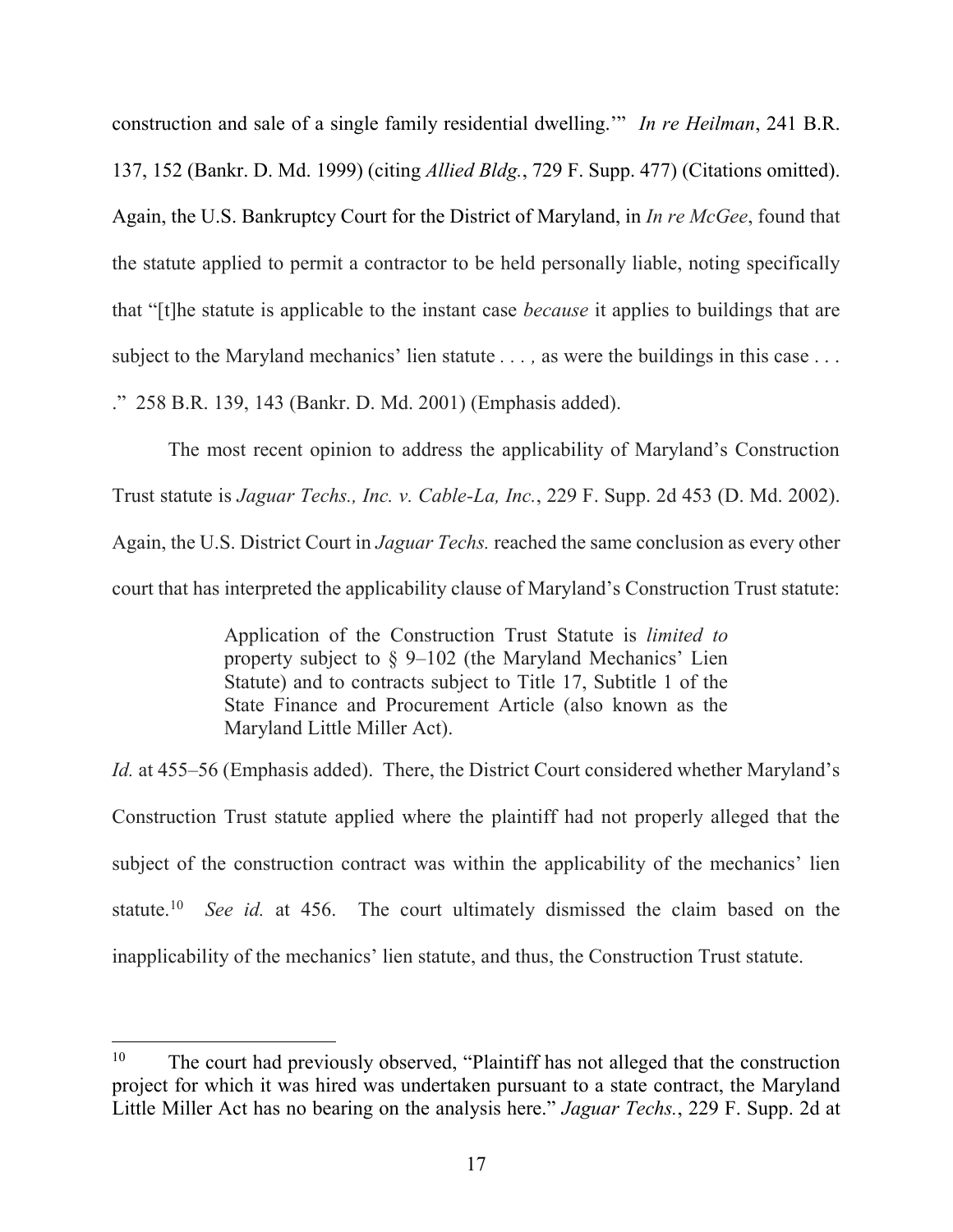construction and sale of a single family residential dwelling.'" *In re Heilman*, 241 B.R. 137, 152 (Bankr. D. Md. 1999) (citing *Allied Bldg.*, 729 F. Supp. 477) (Citations omitted). Again, the U.S. Bankruptcy Court for the District of Maryland, in *In re McGee*, found that the statute applied to permit a contractor to be held personally liable, noting specifically that "[t]he statute is applicable to the instant case *because* it applies to buildings that are subject to the Maryland mechanics' lien statute . . . , as were the buildings in this case . . . ." 258 B.R. 139, 143 (Bankr. D. Md. 2001) (Emphasis added).

The most recent opinion to address the applicability of Maryland's Construction Trust statute is *Jaguar Techs., Inc. v. Cable-La, Inc.*, 229 F. Supp. 2d 453 (D. Md. 2002). Again, the U.S. District Court in *Jaguar Techs.* reached the same conclusion as every other court that has interpreted the applicability clause of Maryland's Construction Trust statute:

> Application of the Construction Trust Statute is *limited to* property subject to § 9–102 (the Maryland Mechanics' Lien Statute) and to contracts subject to Title 17, Subtitle 1 of the State Finance and Procurement Article (also known as the Maryland Little Miller Act).

*Id.* at 455–56 (Emphasis added). There, the District Court considered whether Maryland's Construction Trust statute applied where the plaintiff had not properly alleged that the subject of the construction contract was within the applicability of the mechanics' lien statute. $10$  *See id.* at 456. The court ultimately dismissed the claim based on the inapplicability of the mechanics' lien statute, and thus, the Construction Trust statute.

<sup>&</sup>lt;sup>10</sup> The court had previously observed, "Plaintiff has not alleged that the construction project for which it was hired was undertaken pursuant to a state contract, the Maryland Little Miller Act has no bearing on the analysis here." *Jaguar Techs.*, 229 F. Supp. 2d at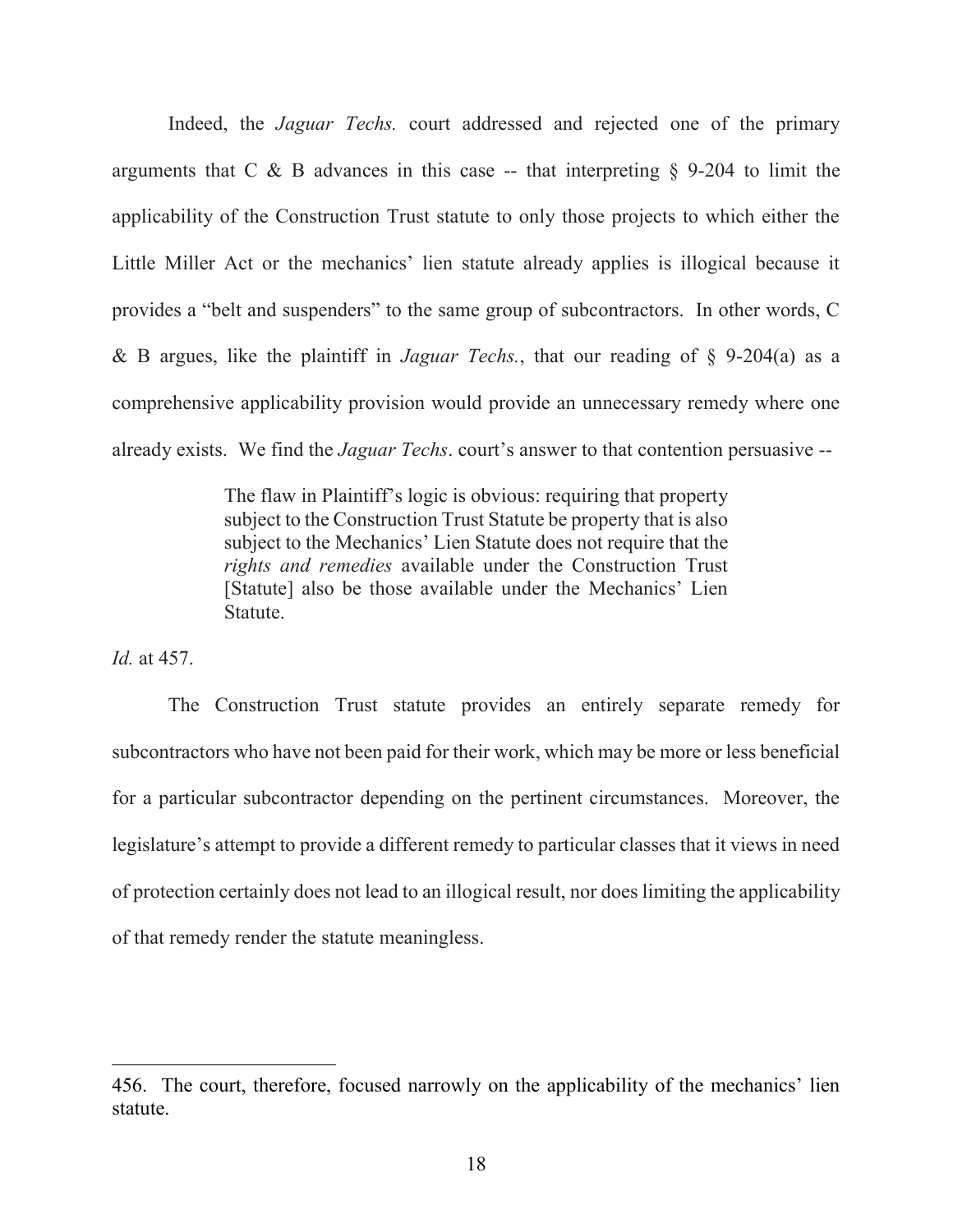Indeed, the *Jaguar Techs.* court addressed and rejected one of the primary arguments that C  $\&$  B advances in this case -- that interpreting  $\S$  9-204 to limit the applicability of the Construction Trust statute to only those projects to which either the Little Miller Act or the mechanics' lien statute already applies is illogical because it provides a "belt and suspenders" to the same group of subcontractors. In other words, C & B argues, like the plaintiff in *Jaguar Techs.*, that our reading of § 9-204(a) as a comprehensive applicability provision would provide an unnecessary remedy where one already exists. We find the *Jaguar Techs*. court's answer to that contention persuasive --

> The flaw in Plaintiff's logic is obvious: requiring that property subject to the Construction Trust Statute be property that is also subject to the Mechanics' Lien Statute does not require that the *rights and remedies* available under the Construction Trust [Statute] also be those available under the Mechanics' Lien Statute.

*Id.* at 457.

 $\overline{\phantom{a}}$ 

 The Construction Trust statute provides an entirely separate remedy for subcontractors who have not been paid for their work, which may be more or less beneficial for a particular subcontractor depending on the pertinent circumstances. Moreover, the legislature's attempt to provide a different remedy to particular classes that it views in need of protection certainly does not lead to an illogical result, nor does limiting the applicability of that remedy render the statute meaningless.

<sup>456.</sup> The court, therefore, focused narrowly on the applicability of the mechanics' lien statute.